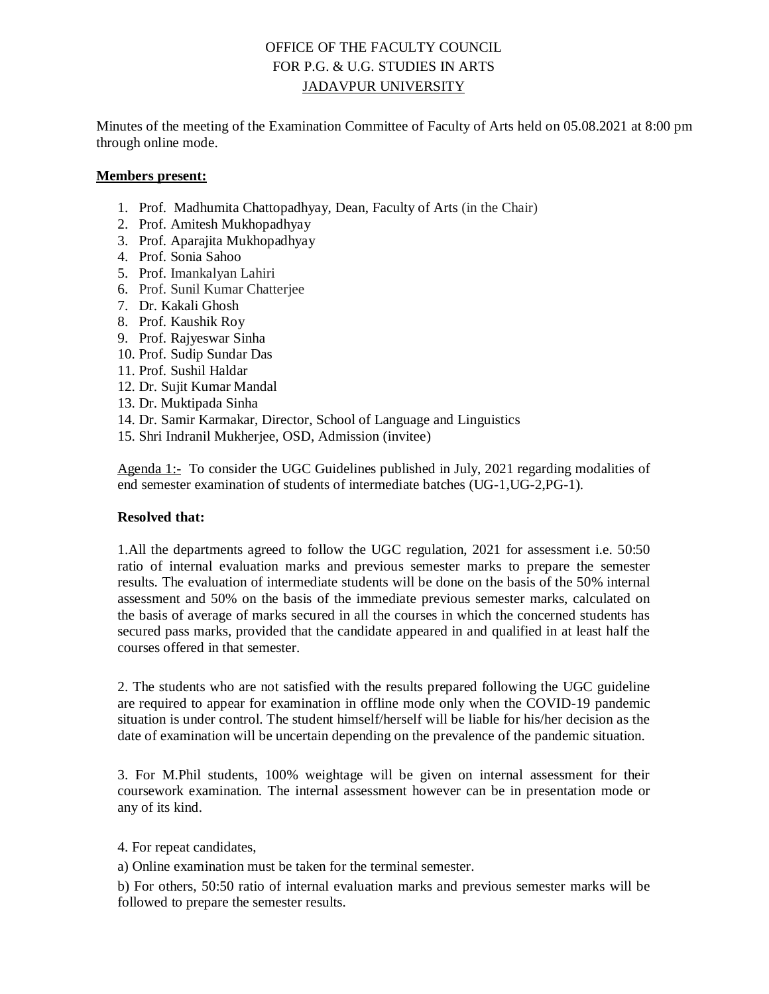## OFFICE OF THE FACULTY COUNCIL FOR P.G. & U.G. STUDIES IN ARTS JADAVPUR UNIVERSITY

Minutes of the meeting of the Examination Committee of Faculty of Arts held on 05.08.2021 at 8:00 pm through online mode.

## **Members present:**

- 1. Prof. Madhumita Chattopadhyay, Dean, Faculty of Arts (in the Chair)
- 2. Prof. Amitesh Mukhopadhyay
- 3. Prof. Aparajita Mukhopadhyay
- 4. Prof. Sonia Sahoo
- 5. Prof. Imankalyan Lahiri
- 6. Prof. Sunil Kumar Chatterjee
- 7. Dr. Kakali Ghosh
- 8. Prof. Kaushik Roy
- 9. Prof. Rajyeswar Sinha
- 10. Prof. Sudip Sundar Das
- 11. Prof. Sushil Haldar
- 12. Dr. Sujit Kumar Mandal
- 13. Dr. Muktipada Sinha
- 14. Dr. Samir Karmakar, Director, School of Language and Linguistics
- 15. Shri Indranil Mukherjee, OSD, Admission (invitee)

Agenda 1:- To consider the UGC Guidelines published in July, 2021 regarding modalities of end semester examination of students of intermediate batches (UG-1,UG-2,PG-1).

## **Resolved that:**

1.All the departments agreed to follow the UGC regulation, 2021 for assessment i.e. 50:50 ratio of internal evaluation marks and previous semester marks to prepare the semester results. The evaluation of intermediate students will be done on the basis of the 50% internal assessment and 50% on the basis of the immediate previous semester marks, calculated on the basis of average of marks secured in all the courses in which the concerned students has secured pass marks, provided that the candidate appeared in and qualified in at least half the courses offered in that semester.

2. The students who are not satisfied with the results prepared following the UGC guideline are required to appear for examination in offline mode only when the COVID-19 pandemic situation is under control. The student himself/herself will be liable for his/her decision as the date of examination will be uncertain depending on the prevalence of the pandemic situation.

3. For M.Phil students, 100% weightage will be given on internal assessment for their coursework examination. The internal assessment however can be in presentation mode or any of its kind.

4. For repeat candidates,

a) Online examination must be taken for the terminal semester.

b) For others, 50:50 ratio of internal evaluation marks and previous semester marks will be followed to prepare the semester results.